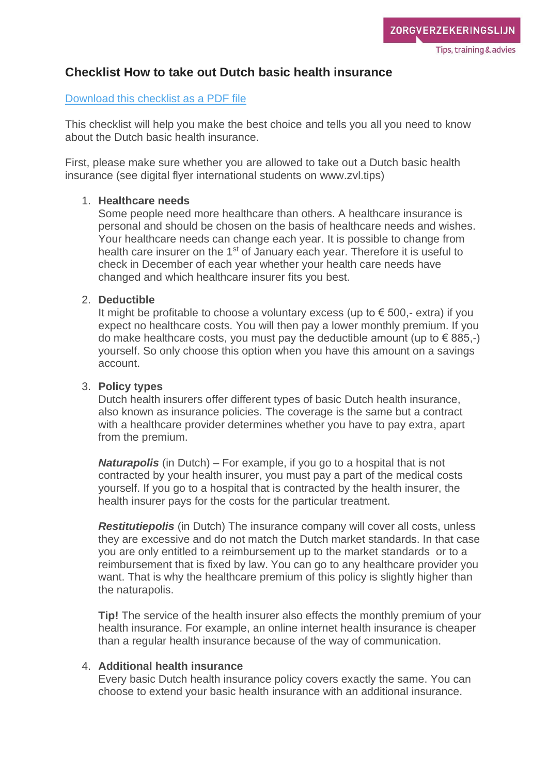# **Checklist How to take out Dutch basic health insurance**

#### [Download this checklist as a PDF file](https://www.zorgverzekeringslijn.nl/wp-content/uploads/2018/09/Checklist-Dutch-health-insurance.pdf)

This checklist will help you make the best choice and tells you all you need to know about the Dutch basic health insurance.

First, please make sure whether you are allowed to take out a Dutch basic health insurance (see digital flyer international students on www.zvl.tips)

#### 1. **Healthcare needs**

Some people need more healthcare than others. A healthcare insurance is personal and should be chosen on the basis of healthcare needs and wishes. Your healthcare needs can change each year. It is possible to change from health care insurer on the 1<sup>st</sup> of January each year. Therefore it is useful to check in December of each year whether your health care needs have changed and which healthcare insurer fits you best.

#### 2. **Deductible**

It might be profitable to choose a voluntary excess (up to  $\epsilon$  500,- extra) if you expect no healthcare costs. You will then pay a lower monthly premium. If you do make healthcare costs, you must pay the deductible amount (up to  $\in$  885,-) yourself. So only choose this option when you have this amount on a savings account.

#### 3. **Policy types**

Dutch health insurers offer different types of basic Dutch health insurance, also known as insurance policies. The coverage is the same but a contract with a healthcare provider determines whether you have to pay extra, apart from the premium.

*Naturapolis* (in Dutch) – For example, if you go to a hospital that is not contracted by your health insurer, you must pay a part of the medical costs yourself. If you go to a hospital that is contracted by the health insurer, the health insurer pays for the costs for the particular treatment.

*Restitutiepolis* (in Dutch) The insurance company will cover all costs, unless they are excessive and do not match the Dutch market standards. In that case you are only entitled to a reimbursement up to the market standards or to a reimbursement that is fixed by law. You can go to any healthcare provider you want. That is why the healthcare premium of this policy is slightly higher than the naturapolis.

**Tip!** The service of the health insurer also effects the monthly premium of your health insurance. For example, an online internet health insurance is cheaper than a regular health insurance because of the way of communication.

## 4. **Additional health insurance**

Every basic Dutch health insurance policy covers exactly the same. You can choose to extend your basic health insurance with an additional insurance.